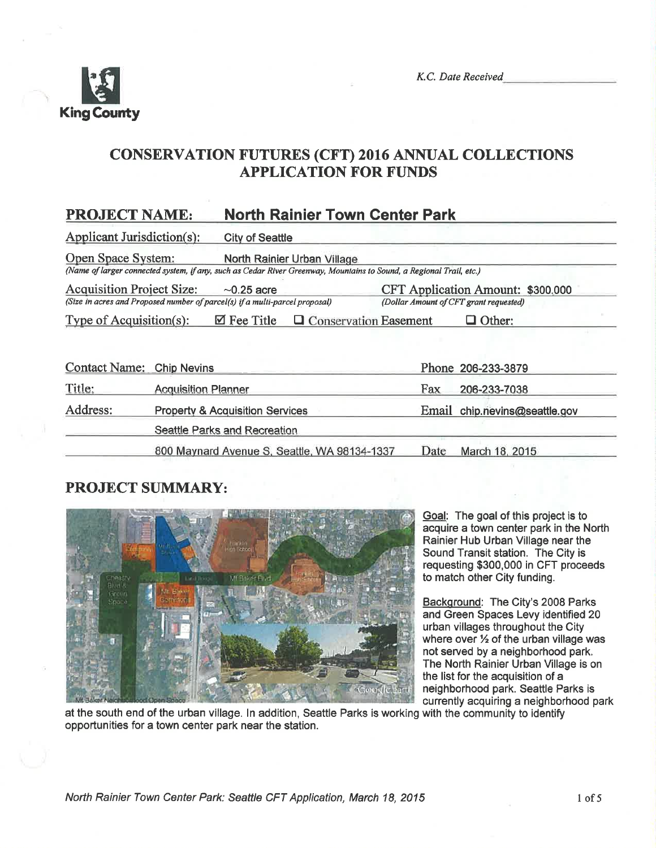

# CONSERVATION FUTURES (CFT) 2016 ANNUAL COLLECTIONS APPLICATION FOR FUNDS

# PROJECT NAME: North Rainier Town Center Park

Applicant Jurisdiction(s): City of Seattle

Open Space System: North Rainier Urban Village

(Name of larger connected systen, if any, such as Cedar River Greenwry, Mounlains to Sound, a Regional Trail, etc,)

Acquisition Project Size:  $\sim$  0.25 acre CFT Application Amount: \$300,000 (Size in acres and Proposed number of parcel(s) if a multi-parcel proposal) (Dollar Amount of CFT grant requested) (Size in acres and Proposed number of parcel(s) if a multi-parcel proposal)

Type of Acquisition(s):  $\boxtimes$  Fee Title  $\Box$  Conservation Easement  $\Box$  Other:

| Contact Name: Chip Nevins |                                              |      | Phone 206-233-3879            |
|---------------------------|----------------------------------------------|------|-------------------------------|
| Title:                    | <b>Acquisition Planner</b>                   | Fax  | 206-233-7038                  |
| Address:                  | <b>Property &amp; Acquisition Services</b>   |      | Email chip.nevins@seattle.gov |
|                           | Seattle Parks and Recreation                 |      |                               |
|                           | 800 Maynard Avenue S, Seattle, WA 98134-1337 | Date | March 18, 2015                |

## PROJECT SIIMMARY:



Goal: The goal of this project is to acquire a town center park in the North Rainier Hub Urban Village near the Sound Transit station. The City is requesting \$300,000 in CFT proceeds to match other City funding.

Background: The City's 2008 Parks and Green Spaces Levy identified 20 urban villages throughout the City where over  $\frac{1}{2}$  of the urban village was not served by a neighborhood park, The North Rainier Urban Village is on the list for the acquisition of a neighborhood park. Seattle Parks is currently acquiring a neighborhood park

at the south end of the urban village. ln addition, Seattle Parks is working with the community to identify opportunities for a town center park near the station.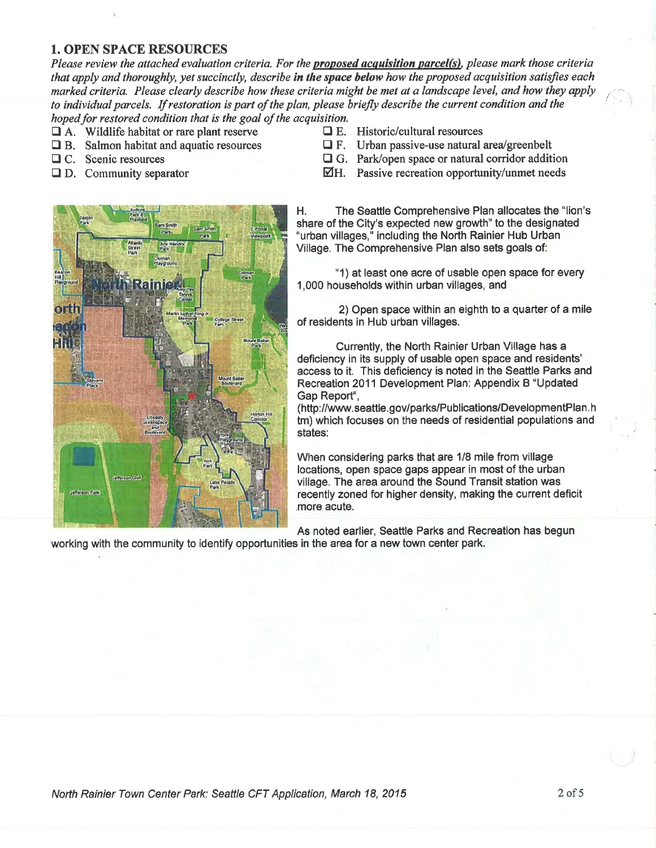### **1. OPEN SPACE RESOURCES**

Please review the attached evaluation criteria. For the **proposed acquisition parcel(s)**, please mark those criteria that apply and thoroughly, yet succinctly, describe in the space below how the proposed acquisition satisfies each marked criteria. Please clearly describe how these criteria might be met at a landscape level, and how they apply to individual parcels. If restoration is part of the plan, please briefly describe the current condition and the hoped for restored condition that is the goal of the acquisition.

- $\Box$  A. Wildlife habitat or rare plant reserve
- $\Box$  B. Salmon habitat and aquatic resources
- **Q** C. Scenic resources
- $\Box$  D. Community separator



- $\Box$  E. Historic/cultural resources
- $\Box$  F. Urban passive-use natural area/greenbelt
- $\Box$  G. Park/open space or natural corridor addition
- $\overline{\mathcal{Q}}$ H. Passive recreation opportunity/unmet needs

The Seattle Comprehensive Plan allocates the "lion's Η. share of the City's expected new growth" to the designated "urban villages," including the North Rainier Hub Urban Village. The Comprehensive Plan also sets goals of:

"1) at least one acre of usable open space for every 1,000 households within urban villages, and

2) Open space within an eighth to a quarter of a mile of residents in Hub urban villages.

Currently, the North Rainier Urban Village has a deficiency in its supply of usable open space and residents' access to it. This deficiency is noted in the Seattle Parks and Recreation 2011 Development Plan: Appendix B "Updated Gap Report",

(http://www.seattle.gov/parks/Publications/DevelopmentPlan.h tm) which focuses on the needs of residential populations and states:

When considering parks that are 1/8 mile from village locations, open space gaps appear in most of the urban village. The area around the Sound Transit station was recently zoned for higher density, making the current deficit more acute.

As noted earlier, Seattle Parks and Recreation has begun working with the community to identify opportunities in the area for a new town center park.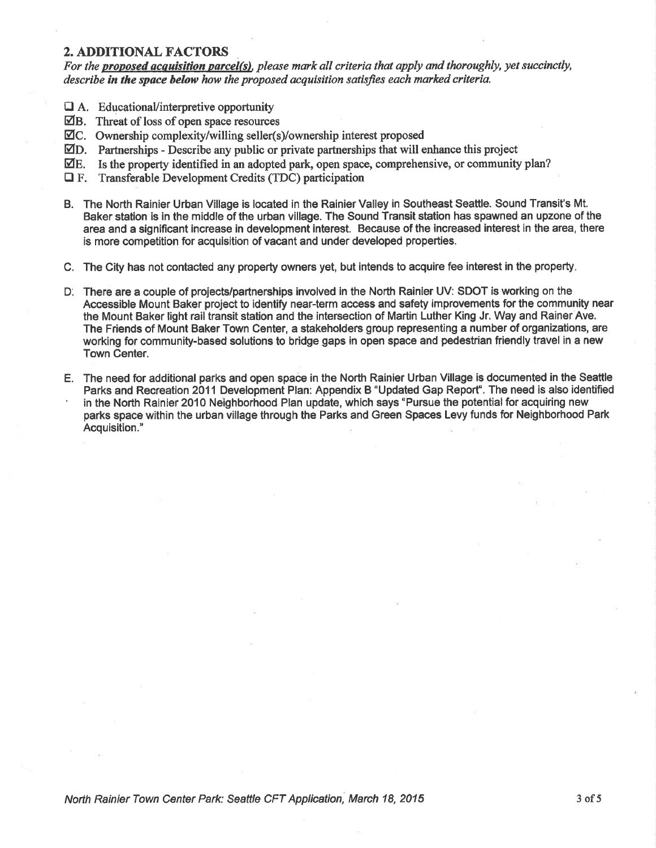#### 2. ADDITIONAL FACTORS

For the proposed acquisition parcel(s), please mark all criteria that apply and thoroughly, yet succinctly, describe in the space below how the proposed acquisition satisfies each marked criteria.

- a A. Educational/interpretive opportunity
- $\boxtimes$ B. Threat of loss of open space resources
- Øc. Ownership complexity/willing seller(s/ownership interest proposed
- $\Box$ D. Partnerships Describe any public or private partnerships that will enhance this project
- $\mathbb{Z}E$ . Is the property identified in an adopted park, open space, comprehensive, or community plan?
- $\Box$  F. Transferable Development Credits (TDC) participation
- B. The North Rainier Urban Village is located in the Rainier Valley in Southeast Seattle. Sound Transit's Mt. Baker station is in the middle of the urban village. The Sound Transit station has spawned an upzone of the area and a significant increase in development interest. Because of the increased interest in the area, there is more competition for acquisition of vacant and under developed properties.
- C. The Gity has not contacted any property owners yet, but intends to acquire fee interest in the property
- D: There are a couple of projects/partnerships involved in the North Rainier UV: SDOT is working on the Accessible Mount Baker project to identify near-term access and safety improvements for the community near the Mount Baker light rail transit station and the intersection of Martin Luther King Jr. Way and Rainer Ave. The Frlends of Mount Baker Town Center, a stakeholders group representing a number of organizations, are working for community-based solutions to bridge gaps in open space and pedestrian friendly travel in a new Town Center.
- E. The need for additional parks and open space in the North Rainier Urban Village is documented in the Seattle in the North Rainier 2010 Neighborhood Plan update, which says "Pursue the potential for acquiring new parks space within the urban village through the Parks and Green Spaces Levy funds for Neighborhood Park Acquisition."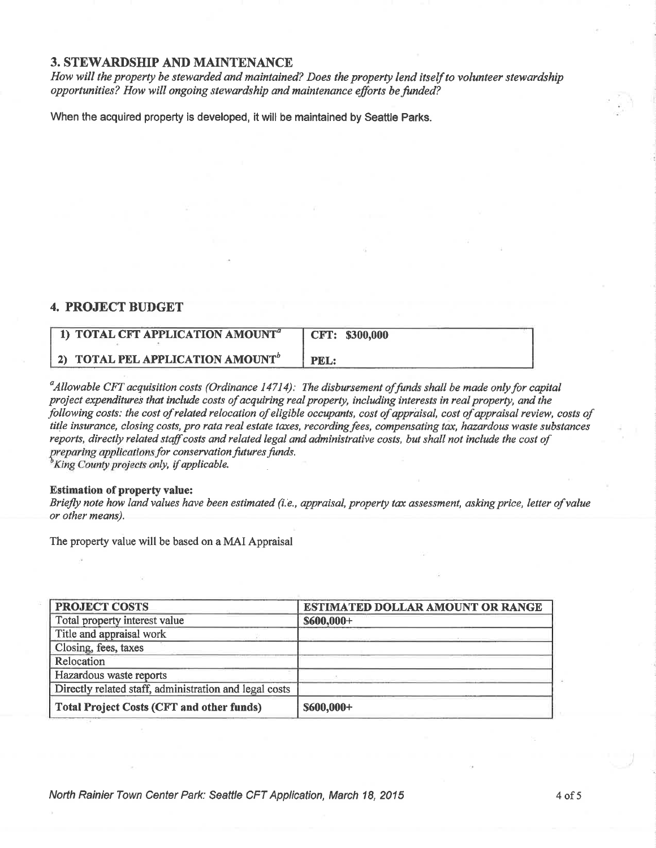## **3. STEWARDSHIP AND MAINTENANCE**

How will the property be stewarded and maintained? Does the property lend itself to volunteer stewardship opportunities? How will ongoing stewardship and maintenance efforts be funded?

When the acquired property is developed, it will be maintained by Seattle Parks.

### **4. PROJECT BUDGET**

| 1) TOTAL CFT APPLICATION AMOUNT <sup>a</sup> | $\vert$ CFT: \$300,000 |
|----------------------------------------------|------------------------|
| 2) TOTAL PEL APPLICATION AMOUNT <sup>b</sup> | PEL:                   |

 $^a$ Allowable CFT acquisition costs (Ordinance 14714): The disbursement of funds shall be made only for capital project expenditures that include costs of acquiring real property, including interests in real property, and the following costs: the cost of related relocation of eligible occupants, cost of appraisal, cost of appraisal review, costs of title insurance, closing costs, pro rata real estate taxes, recording fees, compensating tax, hazardous waste substances reports, directly related staff costs and related legal and administrative costs, but shall not include the cost of preparing applications for conservation futures funds. <sup>b</sup>King County projects only, if applicable.

#### **Estimation of property value:**

Briefly note how land values have been estimated (i.e., appraisal, property tax assessment, asking price, letter of value or other means).

The property value will be based on a MAI Appraisal

| <b>PROJECT COSTS</b>                                   | ESTIMATED DOLLAR AMOUNT OR RANGE |  |  |
|--------------------------------------------------------|----------------------------------|--|--|
| Total property interest value                          | $$600,000+$                      |  |  |
| Title and appraisal work                               |                                  |  |  |
| Closing, fees, taxes                                   |                                  |  |  |
| Relocation                                             |                                  |  |  |
| Hazardous waste reports                                |                                  |  |  |
| Directly related staff, administration and legal costs |                                  |  |  |
| <b>Total Project Costs (CFT and other funds)</b>       | \$600,000+                       |  |  |

North Rainier Town Center Park: Seattle CFT Application, March 18, 2015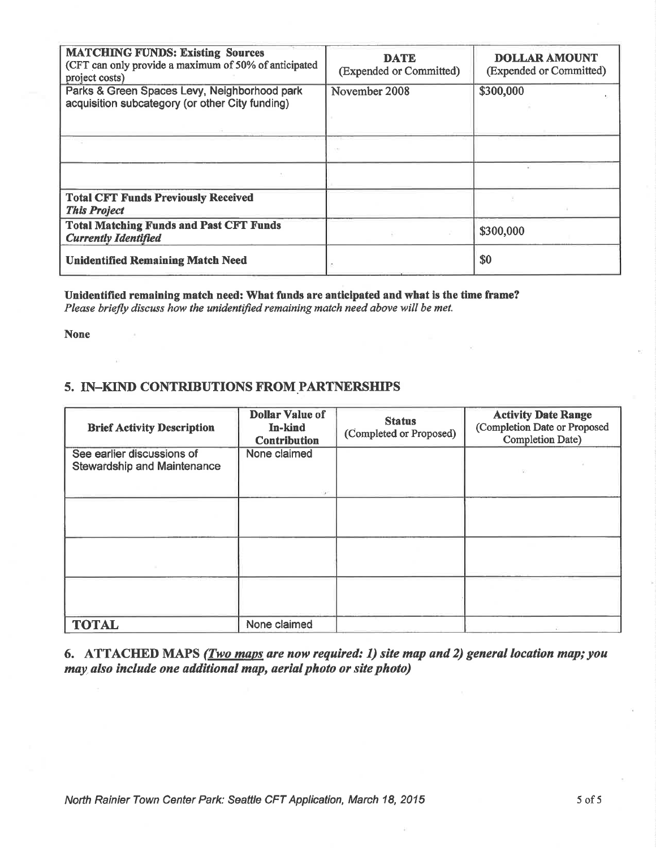| <b>MATCHING FUNDS: Existing Sources</b><br>(CFT can only provide a maximum of 50% of anticipated<br>project costs)<br>Parks & Green Spaces Levy, Neighborhood park<br>acquisition subcategory (or other City funding) | <b>DATE</b><br>(Expended or Committed)<br>November 2008 | <b>DOLLAR AMOUNT</b><br>(Expended or Committed)<br>\$300,000 |
|-----------------------------------------------------------------------------------------------------------------------------------------------------------------------------------------------------------------------|---------------------------------------------------------|--------------------------------------------------------------|
|                                                                                                                                                                                                                       |                                                         |                                                              |
|                                                                                                                                                                                                                       |                                                         |                                                              |
| <b>Total CFT Funds Previously Received</b><br><b>This Project</b>                                                                                                                                                     |                                                         |                                                              |
| <b>Total Matching Funds and Past CFT Funds</b><br><b>Currently Identified</b>                                                                                                                                         |                                                         | \$300,000                                                    |
| <b>Unidentified Remaining Match Need</b>                                                                                                                                                                              |                                                         | \$0                                                          |

Unidentified remaining match need: What funds are anticipated and what is the time frame? Please briefly discuss how the unidentified remaining match need above will be met.

**None** 

## 5. IN-KIND CONTRIBUTIONS FROM PARTNERSHIPS

| <b>Brief Activity Description</b>                                | <b>Dollar Value of</b><br>In-kind<br><b>Contribution</b> | <b>Status</b><br>(Completed or Proposed) | <b>Activity Date Range</b><br>(Completion Date or Proposed<br><b>Completion Date)</b> |
|------------------------------------------------------------------|----------------------------------------------------------|------------------------------------------|---------------------------------------------------------------------------------------|
| See earlier discussions of<br><b>Stewardship and Maintenance</b> | None claimed                                             |                                          |                                                                                       |
|                                                                  |                                                          |                                          |                                                                                       |
|                                                                  |                                                          |                                          |                                                                                       |
|                                                                  |                                                          |                                          |                                                                                       |
| <b>TOTAL</b>                                                     | None claimed                                             |                                          |                                                                                       |

6. ATTACHED MAPS (*Two maps are now required: 1) site map and 2) general location map; you* may also include one additional map, aerial photo or site photo)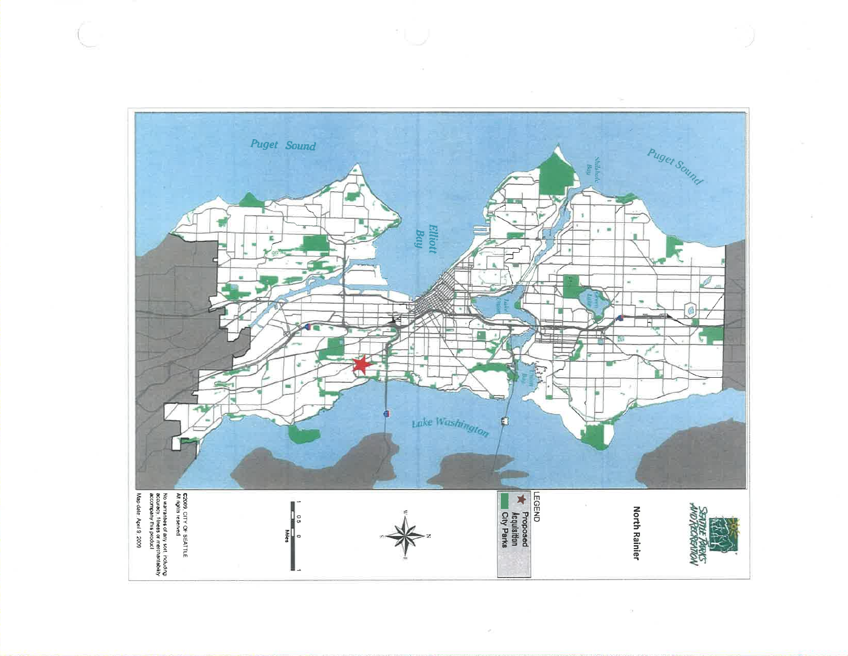

 $\omega$ 

 $\alpha$ 

 $\mathbb{S}^1$  .